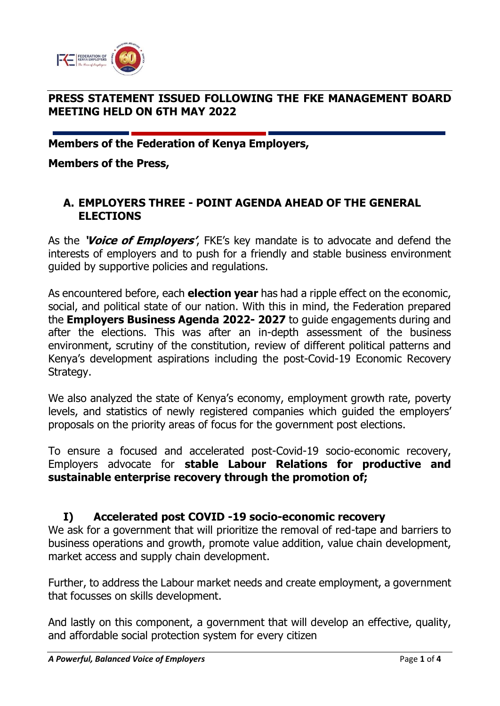

## **PRESS STATEMENT ISSUED FOLLOWING THE FKE MANAGEMENT BOARD MEETING HELD ON 6TH MAY 2022**

**Members of the Federation of Kenya Employers,**

**Members of the Press,**

#### **A. EMPLOYERS THREE - POINT AGENDA AHEAD OF THE GENERAL ELECTIONS**

As the **'Voice of Employers'**, FKE's key mandate is to advocate and defend the interests of employers and to push for a friendly and stable business environment guided by supportive policies and regulations.

As encountered before, each **election year** has had a ripple effect on the economic, social, and political state of our nation. With this in mind, the Federation prepared the **Employers Business Agenda 2022- 2027** to guide engagements during and after the elections. This was after an in-depth assessment of the business environment, scrutiny of the constitution, review of different political patterns and Kenya's development aspirations including the post-Covid-19 Economic Recovery Strategy.

We also analyzed the state of Kenya's economy, employment growth rate, poverty levels, and statistics of newly registered companies which guided the employers' proposals on the priority areas of focus for the government post elections.

To ensure a focused and accelerated post-Covid-19 socio-economic recovery, Employers advocate for **stable Labour Relations for productive and sustainable enterprise recovery through the promotion of;**

#### **I) Accelerated post COVID -19 socio-economic recovery**

We ask for a government that will prioritize the removal of red-tape and barriers to business operations and growth, promote value addition, value chain development, market access and supply chain development.

Further, to address the Labour market needs and create employment, a government that focusses on skills development.

And lastly on this component, a government that will develop an effective, quality, and affordable social protection system for every citizen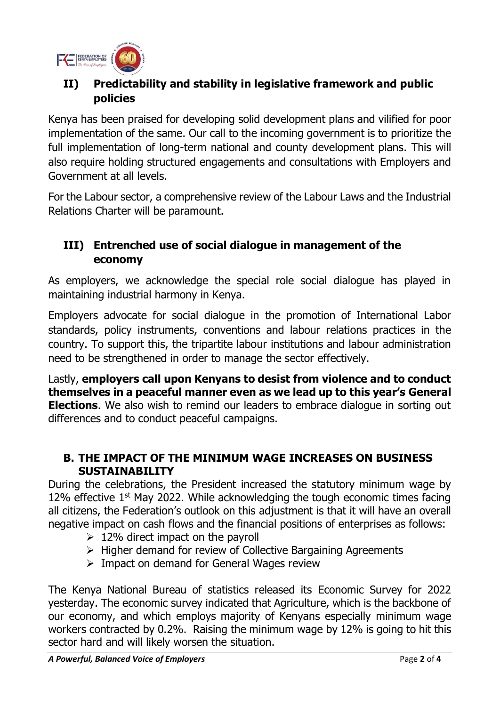

# **II) Predictability and stability in legislative framework and public policies**

Kenya has been praised for developing solid development plans and vilified for poor implementation of the same. Our call to the incoming government is to prioritize the full implementation of long-term national and county development plans. This will also require holding structured engagements and consultations with Employers and Government at all levels.

For the Labour sector, a comprehensive review of the Labour Laws and the Industrial Relations Charter will be paramount.

# **III) Entrenched use of social dialogue in management of the economy**

As employers, we acknowledge the special role social dialogue has played in maintaining industrial harmony in Kenya.

Employers advocate for social dialogue in the promotion of International Labor standards, policy instruments, conventions and labour relations practices in the country. To support this, the tripartite labour institutions and labour administration need to be strengthened in order to manage the sector effectively.

Lastly, **employers call upon Kenyans to desist from violence and to conduct themselves in a peaceful manner even as we lead up to this year's General Elections**. We also wish to remind our leaders to embrace dialogue in sorting out differences and to conduct peaceful campaigns.

## **B. THE IMPACT OF THE MINIMUM WAGE INCREASES ON BUSINESS SUSTAINABILITY**

During the celebrations, the President increased the statutory minimum wage by 12% effective  $1<sup>st</sup>$  May 2022. While acknowledging the tough economic times facing all citizens, the Federation's outlook on this adjustment is that it will have an overall negative impact on cash flows and the financial positions of enterprises as follows:

- $\geq 12\%$  direct impact on the payroll
- ➢ Higher demand for review of Collective Bargaining Agreements
- $\triangleright$  Impact on demand for General Wages review

The Kenya National Bureau of statistics released its Economic Survey for 2022 yesterday. The economic survey indicated that Agriculture, which is the backbone of our economy, and which employs majority of Kenyans especially minimum wage workers contracted by 0.2%. Raising the minimum wage by 12% is going to hit this sector hard and will likely worsen the situation.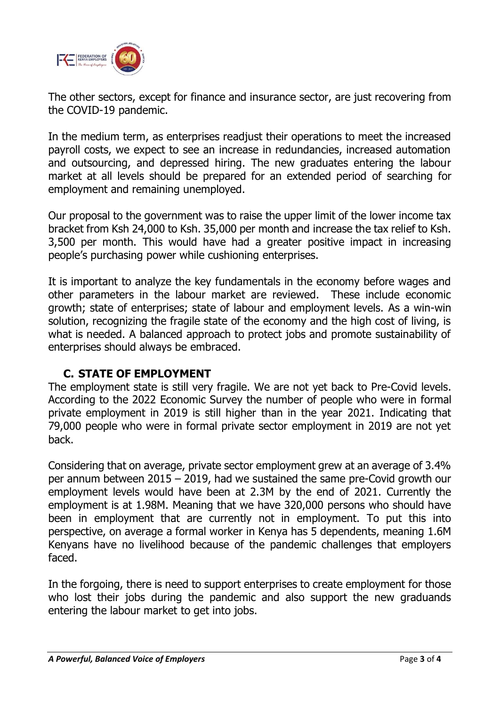

The other sectors, except for finance and insurance sector, are just recovering from the COVID-19 pandemic.

In the medium term, as enterprises readjust their operations to meet the increased payroll costs, we expect to see an increase in redundancies, increased automation and outsourcing, and depressed hiring. The new graduates entering the labour market at all levels should be prepared for an extended period of searching for employment and remaining unemployed.

Our proposal to the government was to raise the upper limit of the lower income tax bracket from Ksh 24,000 to Ksh. 35,000 per month and increase the tax relief to Ksh. 3,500 per month. This would have had a greater positive impact in increasing people's purchasing power while cushioning enterprises.

It is important to analyze the key fundamentals in the economy before wages and other parameters in the labour market are reviewed. These include economic growth; state of enterprises; state of labour and employment levels. As a win-win solution, recognizing the fragile state of the economy and the high cost of living, is what is needed. A balanced approach to protect jobs and promote sustainability of enterprises should always be embraced.

# **C. STATE OF EMPLOYMENT**

The employment state is still very fragile. We are not yet back to Pre-Covid levels. According to the 2022 Economic Survey the number of people who were in formal private employment in 2019 is still higher than in the year 2021. Indicating that 79,000 people who were in formal private sector employment in 2019 are not yet back.

Considering that on average, private sector employment grew at an average of 3.4% per annum between 2015 – 2019, had we sustained the same pre-Covid growth our employment levels would have been at 2.3M by the end of 2021. Currently the employment is at 1.98M. Meaning that we have 320,000 persons who should have been in employment that are currently not in employment. To put this into perspective, on average a formal worker in Kenya has 5 dependents, meaning 1.6M Kenyans have no livelihood because of the pandemic challenges that employers faced.

In the forgoing, there is need to support enterprises to create employment for those who lost their jobs during the pandemic and also support the new graduands entering the labour market to get into jobs.